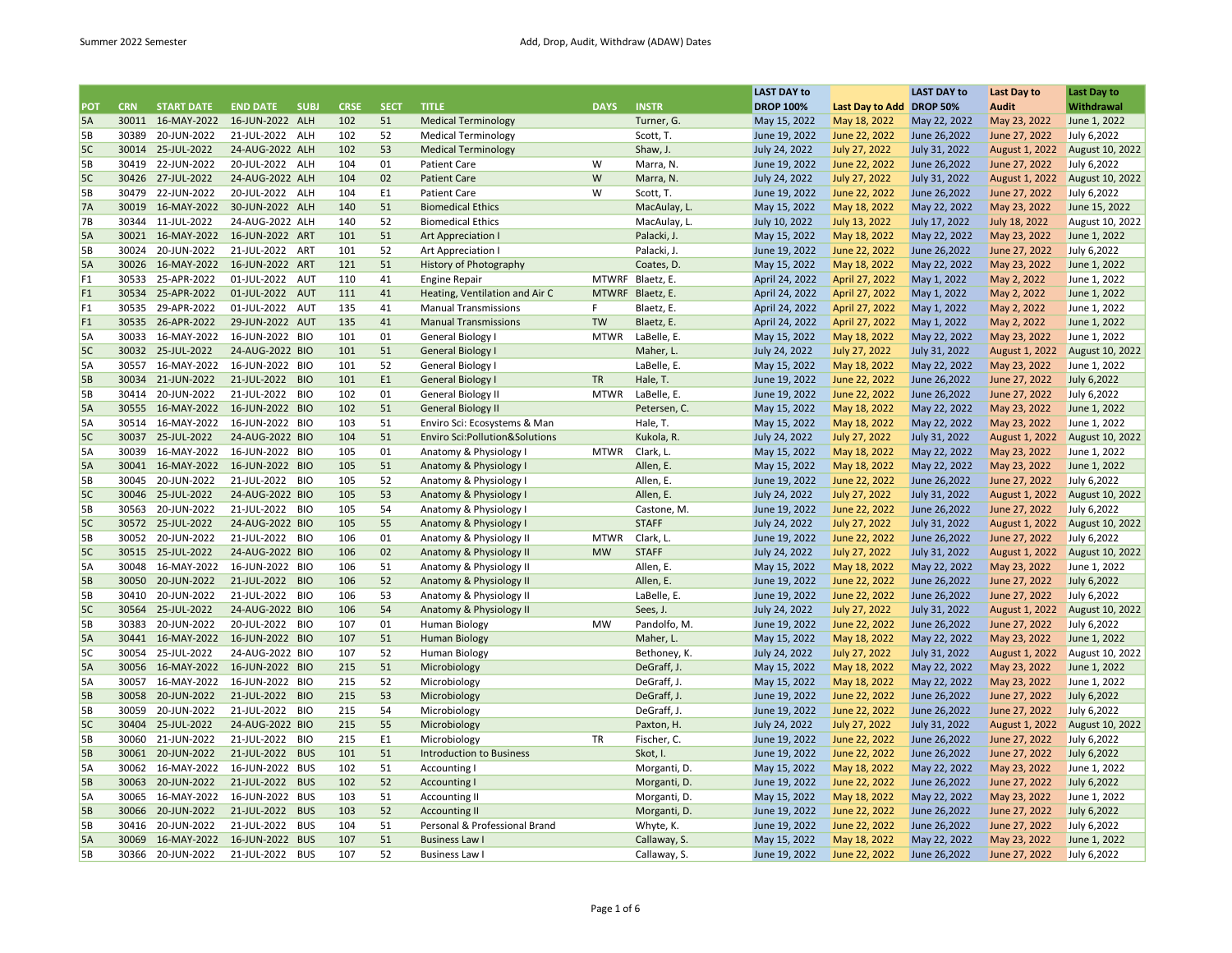|                |            |                   |                 |             |             |             |                                   |             |                  | <b>LAST DAY to</b>            |                               | <b>LAST DAY to</b> | Last Day to    | Last Day to     |
|----------------|------------|-------------------|-----------------|-------------|-------------|-------------|-----------------------------------|-------------|------------------|-------------------------------|-------------------------------|--------------------|----------------|-----------------|
| <b>POT</b>     | <b>CRN</b> | <b>START DATE</b> | <b>END DATE</b> | <b>SUBJ</b> | <b>CRSE</b> | <b>SECT</b> | <b>TITLE</b>                      | <b>DAYS</b> | <b>INSTR</b>     | <b>DROP 100%</b>              | Last Day to Add DROP 50%      |                    | <b>Audit</b>   | Withdrawal      |
| 5A             |            | 30011 16-MAY-2022 | 16-JUN-2022 ALH |             | 102         | 51          | <b>Medical Terminology</b>        |             | Turner, G.       | May 15, 2022                  | May 18, 2022                  | May 22, 2022       | May 23, 2022   | June 1, 2022    |
| 5B             | 30389      | 20-JUN-2022       | 21-JUL-2022 ALH |             | 102         | 52          | <b>Medical Terminology</b>        |             | Scott, T.        | June 19, 2022                 | June 22, 2022                 | June 26,2022       | June 27, 2022  | July 6,2022     |
| 5C             |            | 30014 25-JUL-2022 | 24-AUG-2022 ALH |             | 102         | 53          | <b>Medical Terminology</b>        |             | Shaw, J.         | July 24, 2022                 | July 27, 2022                 | July 31, 2022      | August 1, 2022 | August 10, 2022 |
| 5В             | 30419      | 22-JUN-2022       | 20-JUL-2022 ALH |             | 104         | 01          | <b>Patient Care</b>               | W           | Marra, N.        | June 19, 2022                 | June 22, 2022                 | June 26,2022       | June 27, 2022  | July 6,2022     |
| 5C             |            | 30426 27-JUL-2022 | 24-AUG-2022 ALH |             | 104         | 02          | <b>Patient Care</b>               | W           | Marra, N.        | July 24, 2022                 | July 27, 2022                 | July 31, 2022      | August 1, 2022 | August 10, 2022 |
| 5В             | 30479      | 22-JUN-2022       | 20-JUL-2022 ALH |             | 104         | E1          | <b>Patient Care</b>               | W           | Scott, T.        | June 19, 2022                 | June 22, 2022                 | June 26,2022       | June 27, 2022  | July 6,2022     |
| 7A             |            | 30019 16-MAY-2022 | 30-JUN-2022 ALH |             | 140         | 51          | <b>Biomedical Ethics</b>          |             | MacAulay, L.     | May 15, 2022                  | May 18, 2022                  | May 22, 2022       | May 23, 2022   | June 15, 2022   |
| <b>7B</b>      | 30344      | 11-JUL-2022       | 24-AUG-2022 ALH |             | 140         | 52          | <b>Biomedical Ethics</b>          |             | MacAulay, L.     | July 10, 2022                 | July 13, 2022                 | July 17, 2022      | July 18, 2022  | August 10, 2022 |
| 5A             |            | 30021 16-MAY-2022 | 16-JUN-2022 ART |             | 101         | 51          | <b>Art Appreciation I</b>         |             | Palacki, J.      | May 15, 2022                  | May 18, 2022                  | May 22, 2022       | May 23, 2022   | June 1, 2022    |
| 5Β             | 30024      | 20-JUN-2022       | 21-JUL-2022     | ART         | 101         | 52          | Art Appreciation I                |             | Palacki, J.      | June 19, 2022                 | June 22, 2022                 | June 26,2022       | June 27, 2022  | July 6,2022     |
| 5A             |            | 30026 16-MAY-2022 | 16-JUN-2022 ART |             | 121         | 51          | <b>History of Photography</b>     |             | Coates, D.       | May 15, 2022                  | May 18, 2022                  | May 22, 2022       | May 23, 2022   | June 1, 2022    |
| F <sub>1</sub> | 30533      | 25-APR-2022       | 01-JUL-2022 AUT |             | 110         | 41          | <b>Engine Repair</b>              | MTWRF       | Blaetz, E.       | April 24, 2022                | April 27, 2022                | May 1, 2022        | May 2, 2022    | June 1, 2022    |
| F <sub>1</sub> | 30534      | 25-APR-2022       | 01-JUL-2022     | AUT         | 111         | 41          | Heating, Ventilation and Air C    |             | MTWRF Blaetz, E. | April 24, 2022                | April 27, 2022                | May 1, 2022        | May 2, 2022    | June 1, 2022    |
| F1             | 30535      | 29-APR-2022       | 01-JUL-2022     | AUT         | 135         | 41          | <b>Manual Transmissions</b>       | F           | Blaetz, E.       | April 24, 2022                | April 27, 2022                | May 1, 2022        | May 2, 2022    | June 1, 2022    |
| F <sub>1</sub> |            | 30535 26-APR-2022 | 29-JUN-2022 AUT |             | 135         | 41          | <b>Manual Transmissions</b>       | <b>TW</b>   | Blaetz, E.       | April 24, 2022                | April 27, 2022                | May 1, 2022        | May 2, 2022    | June 1, 2022    |
| 5A             | 30033      | 16-MAY-2022       | 16-JUN-2022 BIO |             | 101         | 01          | <b>General Biology I</b>          | <b>MTWR</b> | LaBelle, E.      | May 15, 2022                  | May 18, 2022                  | May 22, 2022       | May 23, 2022   | June 1, 2022    |
|                |            |                   |                 |             |             |             |                                   |             |                  |                               |                               |                    |                |                 |
| 5C             |            | 30032 25-JUL-2022 | 24-AUG-2022 BIO |             | 101         | 51          | <b>General Biology I</b>          |             | Maher, L.        | July 24, 2022                 | July 27, 2022                 | July 31, 2022      | August 1, 2022 | August 10, 2022 |
| 5A             | 30557      | 16-MAY-2022       | 16-JUN-2022 BIO |             | 101         | 52          | <b>General Biology I</b>          |             | LaBelle, E.      | May 15, 2022                  | May 18, 2022                  | May 22, 2022       | May 23, 2022   | June 1, 2022    |
| 5B             |            | 30034 21-JUN-2022 | 21-JUL-2022 BIO |             | 101         | E1          | <b>General Biology I</b>          | <b>TR</b>   | Hale, T.         | June 19, 2022                 | June 22, 2022                 | June 26,2022       | June 27, 2022  | July 6,2022     |
| 5B             | 30414      | 20-JUN-2022       | 21-JUL-2022 BIO |             | 102         | 01          | <b>General Biology II</b>         | <b>MTWR</b> | LaBelle, E.      | June 19, 2022                 | June 22, 2022                 | June 26,2022       | June 27, 2022  | July 6,2022     |
| 5A             |            | 30555 16-MAY-2022 | 16-JUN-2022 BIO |             | 102         | 51          | <b>General Biology II</b>         |             | Petersen, C.     | May 15, 2022                  | May 18, 2022                  | May 22, 2022       | May 23, 2022   | June 1, 2022    |
| 5A             | 30514      | 16-MAY-2022       | 16-JUN-2022 BIO |             | 103         | 51          | Enviro Sci: Ecosystems & Man      |             | Hale, T.         | May 15, 2022                  | May 18, 2022                  | May 22, 2022       | May 23, 2022   | June 1, 2022    |
| 5C             | 30037      | 25-JUL-2022       | 24-AUG-2022 BIO |             | 104         | 51          | Enviro Sci: Pollution & Solutions |             | Kukola, R.       | July 24, 2022                 | July 27, 2022                 | July 31, 2022      | August 1, 2022 | August 10, 2022 |
| 5A             | 30039      | 16-MAY-2022       | 16-JUN-2022 BIO |             | 105         | 01          | Anatomy & Physiology I            | <b>MTWR</b> | Clark, L.        | May 15, 2022                  | May 18, 2022                  | May 22, 2022       | May 23, 2022   | June 1, 2022    |
| 5A             |            | 30041 16-MAY-2022 | 16-JUN-2022 BIO |             | 105         | 51          | Anatomy & Physiology I            |             | Allen, E.        | May 15, 2022                  | May 18, 2022                  | May 22, 2022       | May 23, 2022   | June 1, 2022    |
| 5В             | 30045      | 20-JUN-2022       | 21-JUL-2022 BIO |             | 105         | 52          | Anatomy & Physiology I            |             | Allen, E.        | June 19, 2022                 | June 22, 2022                 | June 26,2022       | June 27, 2022  | July 6,2022     |
| 5C             | 30046      | 25-JUL-2022       | 24-AUG-2022 BIO |             | 105         | 53          | Anatomy & Physiology I            |             | Allen, E.        | July 24, 2022                 | July 27, 2022                 | July 31, 2022      | August 1, 2022 | August 10, 2022 |
| 5В             | 30563      | 20-JUN-2022       | 21-JUL-2022 BIO |             | 105         | 54          | Anatomy & Physiology I            |             | Castone, M.      | June 19, 2022                 | June 22, 2022                 | June 26,2022       | June 27, 2022  | July 6,2022     |
| 5C             |            | 30572 25-JUL-2022 | 24-AUG-2022 BIO |             | 105         | 55          | Anatomy & Physiology I            |             | <b>STAFF</b>     | July 24, 2022                 | July 27, 2022                 | July 31, 2022      | August 1, 2022 | August 10, 2022 |
| 5В             | 30052      | 20-JUN-2022       | 21-JUL-2022 BIO |             | 106         | 01          | Anatomy & Physiology II           | <b>MTWR</b> | Clark, L.        | June 19, 2022                 | June 22, 2022                 | June 26,2022       | June 27, 2022  | July 6,2022     |
| 5C             | 30515      | 25-JUL-2022       | 24-AUG-2022 BIO |             | 106         | 02          | Anatomy & Physiology II           | <b>MW</b>   | <b>STAFF</b>     | July 24, 2022                 | July 27, 2022                 | July 31, 2022      | August 1, 2022 | August 10, 2022 |
| 5A             | 30048      | 16-MAY-2022       | 16-JUN-2022 BIO |             | 106         | 51          | Anatomy & Physiology II           |             | Allen, E.        | May 15, 2022                  | May 18, 2022                  | May 22, 2022       | May 23, 2022   | June 1, 2022    |
| 5B             | 30050      | 20-JUN-2022       | 21-JUL-2022 BIO |             | 106         | 52          | Anatomy & Physiology II           |             | Allen, E.        | June 19, 2022                 | June 22, 2022                 | June 26,2022       | June 27, 2022  | July 6,2022     |
| 5В             | 30410      | 20-JUN-2022       | 21-JUL-2022 BIO |             | 106         | 53          | Anatomy & Physiology II           |             | LaBelle, E.      | June 19, 2022                 | June 22, 2022                 | June 26,2022       | June 27, 2022  | July 6,2022     |
| 5C             | 30564      | 25-JUL-2022       | 24-AUG-2022 BIO |             | 106         | 54          | Anatomy & Physiology II           |             | Sees, J.         | July 24, 2022                 | July 27, 2022                 | July 31, 2022      | August 1, 2022 | August 10, 2022 |
| 5В             | 30383      | 20-JUN-2022       | 20-JUL-2022     | <b>BIO</b>  | 107         | 01          | <b>Human Biology</b>              | <b>MW</b>   | Pandolfo, M.     | June 19, 2022                 | June 22, 2022                 | June 26,2022       | June 27, 2022  | July 6,2022     |
| 5A             |            | 30441 16-MAY-2022 | 16-JUN-2022 BIO |             | 107         | 51          | <b>Human Biology</b>              |             | Maher, L.        | May 15, 2022                  | May 18, 2022                  | May 22, 2022       | May 23, 2022   | June 1, 2022    |
| 5C             | 30054      | 25-JUL-2022       | 24-AUG-2022 BIO |             | 107         | 52          | <b>Human Biology</b>              |             | Bethoney, K.     | July 24, 2022                 | July 27, 2022                 | July 31, 2022      | August 1, 2022 | August 10, 2022 |
| 5A             | 30056      | 16-MAY-2022       | 16-JUN-2022 BIO |             | 215         | 51          | Microbiology                      |             | DeGraff, J.      | May 15, 2022                  | May 18, 2022                  | May 22, 2022       | May 23, 2022   | June 1, 2022    |
| 5A             | 30057      | 16-MAY-2022       | 16-JUN-2022 BIO |             | 215         | 52          | Microbiology                      |             | DeGraff, J.      | May 15, 2022                  | May 18, 2022                  | May 22, 2022       | May 23, 2022   | June 1, 2022    |
| 5B             | 30058      | 20-JUN-2022       | 21-JUL-2022 BIO |             | 215         | 53          | Microbiology                      |             | DeGraff, J.      | June 19, 2022                 | June 22, 2022                 | June 26,2022       | June 27, 2022  | July 6,2022     |
| 5B             | 30059      | 20-JUN-2022       | 21-JUL-2022     | <b>BIO</b>  | 215         | 54          | Microbiology                      |             | DeGraff, J.      | June 19, 2022                 | June 22, 2022                 | June 26,2022       | June 27, 2022  | July 6,2022     |
| 5C             | 30404      | 25-JUL-2022       | 24-AUG-2022 BIO |             | 215         | 55          | Microbiology                      |             | Paxton, H.       | July 24, 2022                 | July 27, 2022                 | July 31, 2022      | August 1, 2022 | August 10, 2022 |
| 5В             | 30060      | 21-JUN-2022       | 21-JUL-2022     | <b>BIO</b>  | 215         | E1          | Microbiology                      | TR          | Fischer, C.      | June 19, 2022                 | June 22, 2022                 | June 26,2022       | June 27, 2022  | July 6,2022     |
| 5B             | 30061      | 20-JUN-2022       | 21-JUL-2022 BUS |             | 101         | 51          | <b>Introduction to Business</b>   |             | Skot, I.         | June 19, 2022                 | June 22, 2022                 | June 26,2022       | June 27, 2022  | July 6,2022     |
| 5А             | 30062      | 16-MAY-2022       | 16-JUN-2022 BUS |             | 102         | 51          | <b>Accounting I</b>               |             | Morganti, D.     |                               |                               | May 22, 2022       | May 23, 2022   | June 1, 2022    |
| 5B             |            | 30063 20-JUN-2022 | 21-JUL-2022 BUS |             | 102         | 52          | <b>Accounting I</b>               |             |                  | May 15, 2022<br>June 19, 2022 | May 18, 2022<br>June 22, 2022 | June 26,2022       | June 27, 2022  | July 6,2022     |
|                |            |                   |                 |             |             |             |                                   |             | Morganti, D.     |                               |                               |                    |                |                 |
| 5A             | 30065      | 16-MAY-2022       | 16-JUN-2022 BUS |             | 103         | 51          | <b>Accounting II</b>              |             | Morganti, D.     | May 15, 2022                  | May 18, 2022                  | May 22, 2022       | May 23, 2022   | June 1, 2022    |
| 5B             | 30066      | 20-JUN-2022       | 21-JUL-2022     | <b>BUS</b>  | 103         | 52          | <b>Accounting II</b>              |             | Morganti, D.     | June 19, 2022                 | June 22, 2022                 | June 26,2022       | June 27, 2022  | July 6,2022     |
| 5B             | 30416      | 20-JUN-2022       | 21-JUL-2022     | <b>BUS</b>  | 104         | 51          | Personal & Professional Brand     |             | Whyte, K.        | June 19, 2022                 | June 22, 2022                 | June 26,2022       | June 27, 2022  | July 6,2022     |
| 5A             | 30069      | 16-MAY-2022       | 16-JUN-2022 BUS |             | 107         | 51          | <b>Business Law I</b>             |             | Callaway, S.     | May 15, 2022                  | May 18, 2022                  | May 22, 2022       | May 23, 2022   | June 1, 2022    |
| 5В             | 30366      | 20-JUN-2022       | 21-JUL-2022     | <b>BUS</b>  | 107         | 52          | <b>Business Law I</b>             |             | Callaway, S.     | June 19, 2022                 | June 22, 2022                 | June 26,2022       | June 27, 2022  | July 6,2022     |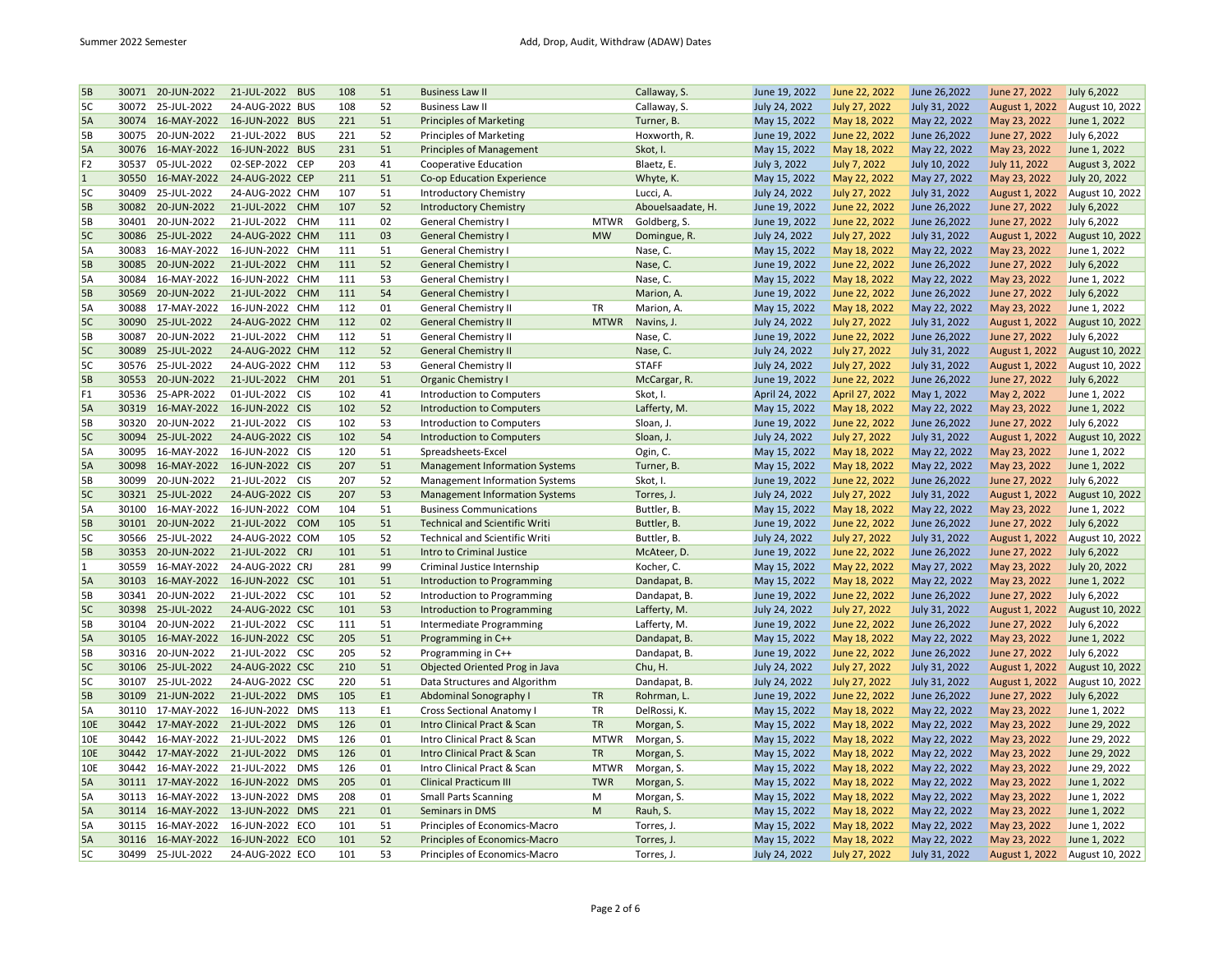| <b>5B</b>      | 30071 | 20-JUN-2022       | 21-JUL-2022<br><b>BUS</b> | 108 | 51 | <b>Business Law II</b>                |             | Callaway, S.      | June 19, 2022  | June 22, 2022        | June 26,2022  | June 27, 2022  | July 6,2022     |
|----------------|-------|-------------------|---------------------------|-----|----|---------------------------------------|-------------|-------------------|----------------|----------------------|---------------|----------------|-----------------|
| 5C             | 30072 | 25-JUL-2022       | 24-AUG-2022 BUS           | 108 | 52 | <b>Business Law II</b>                |             | Callaway, S.      | July 24, 2022  | July 27, 2022        | July 31, 2022 | August 1, 2022 | August 10, 2022 |
| 5A             | 30074 | 16-MAY-2022       | 16-JUN-2022 BUS           | 221 | 51 | <b>Principles of Marketing</b>        |             | Turner, B.        | May 15, 2022   | May 18, 2022         | May 22, 2022  | May 23, 2022   | June 1, 2022    |
| 5B             | 30075 | 20-JUN-2022       | 21-JUL-2022 BUS           | 221 | 52 | <b>Principles of Marketing</b>        |             | Hoxworth, R.      | June 19, 2022  | June 22, 2022        | June 26,2022  | June 27, 2022  | July 6,2022     |
| 5A             | 30076 | 16-MAY-2022       | 16-JUN-2022 BUS           | 231 | 51 | <b>Principles of Management</b>       |             | Skot, I.          | May 15, 2022   | May 18, 2022         | May 22, 2022  | May 23, 2022   | June 1, 2022    |
| F <sub>2</sub> | 30537 | 05-JUL-2022       | 02-SEP-2022 CEP           | 203 | 41 | Cooperative Education                 |             | Blaetz, E.        | July 3, 2022   | July 7, 2022         | July 10, 2022 | July 11, 2022  | August 3, 2022  |
| $\mathbf{1}$   | 30550 | 16-MAY-2022       | 24-AUG-2022 CEP           | 211 | 51 | Co-op Education Experience            |             | Whyte, K.         | May 15, 2022   | May 22, 2022         | May 27, 2022  | May 23, 2022   | July 20, 2022   |
| 5C             | 30409 | 25-JUL-2022       | 24-AUG-2022 CHM           | 107 | 51 | <b>Introductory Chemistry</b>         |             | Lucci, A.         | July 24, 2022  | July 27, 2022        | July 31, 2022 | August 1, 2022 | August 10, 2022 |
| 5B             |       | 30082 20-JUN-2022 | 21-JUL-2022 CHM           | 107 | 52 | <b>Introductory Chemistry</b>         |             | Abouelsaadate, H. | June 19, 2022  | June 22, 2022        | June 26,2022  | June 27, 2022  | July 6,2022     |
| 5B             | 30401 | 20-JUN-2022       | 21-JUL-2022<br>CHM        | 111 | 02 | General Chemistry I                   | <b>MTWR</b> | Goldberg, S.      | June 19, 2022  | June 22, 2022        | June 26,2022  | June 27, 2022  | July 6,2022     |
| 5C             | 30086 | 25-JUL-2022       | 24-AUG-2022 CHM           | 111 | 03 | <b>General Chemistry I</b>            | <b>MW</b>   | Domingue, R.      | July 24, 2022  | July 27, 2022        | July 31, 2022 | August 1, 2022 | August 10, 2022 |
| 5A             | 30083 | 16-MAY-2022       | 16-JUN-2022 CHM           | 111 | 51 | General Chemistry I                   |             | Nase, C.          | May 15, 2022   | May 18, 2022         | May 22, 2022  | May 23, 2022   | June 1, 2022    |
| <b>5B</b>      | 30085 | 20-JUN-2022       | 21-JUL-2022<br><b>CHM</b> | 111 | 52 | <b>General Chemistry I</b>            |             | Nase, C.          | June 19, 2022  | June 22, 2022        | June 26,2022  | June 27, 2022  | July 6,2022     |
| 5A             | 30084 | 16-MAY-2022       | 16-JUN-2022 CHM           | 111 | 53 | General Chemistry I                   |             | Nase, C.          | May 15, 2022   | May 18, 2022         | May 22, 2022  | May 23, 2022   | June 1, 2022    |
| 5B             | 30569 | 20-JUN-2022       | 21-JUL-2022<br><b>CHM</b> | 111 | 54 | <b>General Chemistry I</b>            |             | Marion, A.        | June 19, 2022  | June 22, 2022        | June 26,2022  | June 27, 2022  | July 6,2022     |
| 5A             | 30088 | 17-MAY-2022       | 16-JUN-2022 CHM           | 112 | 01 | General Chemistry II                  | TR          | Marion, A.        | May 15, 2022   | May 18, 2022         | May 22, 2022  | May 23, 2022   | June 1, 2022    |
| 5C             | 30090 | 25-JUL-2022       | 24-AUG-2022 CHM           | 112 | 02 | <b>General Chemistry II</b>           | <b>MTWR</b> | Navins, J.        | July 24, 2022  | July 27, 2022        | July 31, 2022 | August 1, 2022 | August 10, 2022 |
| 5B             | 30087 | 20-JUN-2022       | 21-JUL-2022<br>CHM        | 112 | 51 | General Chemistry II                  |             | Nase, C.          | June 19, 2022  | June 22, 2022        | June 26,2022  | June 27, 2022  | July 6,2022     |
| 5C             | 30089 | 25-JUL-2022       | 24-AUG-2022 CHM           | 112 | 52 | <b>General Chemistry II</b>           |             | Nase, C.          | July 24, 2022  | <b>July 27, 2022</b> | July 31, 2022 | August 1, 2022 | August 10, 2022 |
| 5C             | 30576 | 25-JUL-2022       | 24-AUG-2022 CHM           | 112 | 53 | <b>General Chemistry II</b>           |             | <b>STAFF</b>      | July 24, 2022  | July 27, 2022        | July 31, 2022 | August 1, 2022 | August 10, 2022 |
| <b>5B</b>      | 30553 | 20-JUN-2022       | 21-JUL-2022 CHM           | 201 | 51 | <b>Organic Chemistry I</b>            |             | McCargar, R.      | June 19, 2022  | June 22, 2022        | June 26,2022  | June 27, 2022  | July 6,2022     |
| F <sub>1</sub> | 30536 | 25-APR-2022       | 01-JUL-2022<br><b>CIS</b> | 102 | 41 | Introduction to Computers             |             | Skot, I.          | April 24, 2022 | April 27, 2022       | May 1, 2022   | May 2, 2022    | June 1, 2022    |
| 5A             |       | 30319 16-MAY-2022 | 16-JUN-2022 CIS           | 102 | 52 | <b>Introduction to Computers</b>      |             | Lafferty, M.      | May 15, 2022   | May 18, 2022         | May 22, 2022  | May 23, 2022   | June 1, 2022    |
| 5B             | 30320 | 20-JUN-2022       | 21-JUL-2022 CIS           | 102 | 53 |                                       |             |                   | June 19, 2022  |                      | June 26,2022  |                |                 |
|                | 30094 | 25-JUL-2022       | 24-AUG-2022 CIS           | 102 | 54 | Introduction to Computers             |             | Sloan, J.         |                | June 22, 2022        |               | June 27, 2022  | July 6,2022     |
| 5C             | 30095 |                   |                           |     |    | <b>Introduction to Computers</b>      |             | Sloan, J.         | July 24, 2022  | July 27, 2022        | July 31, 2022 | August 1, 2022 | August 10, 2022 |
| 5A             |       | 16-MAY-2022       | 16-JUN-2022 CIS           | 120 | 51 | Spreadsheets-Excel                    |             | Ogin, C.          | May 15, 2022   | May 18, 2022         | May 22, 2022  | May 23, 2022   | June 1, 2022    |
| 5A             | 30098 | 16-MAY-2022       | 16-JUN-2022 CIS           | 207 | 51 | <b>Management Information Systems</b> |             | Turner, B.        | May 15, 2022   | May 18, 2022         | May 22, 2022  | May 23, 2022   | June 1, 2022    |
| 5B             | 30099 | 20-JUN-2022       | 21-JUL-2022 CIS           | 207 | 52 | <b>Management Information Systems</b> |             | Skot, I.          | June 19, 2022  | June 22, 2022        | June 26,2022  | June 27, 2022  | July 6,2022     |
| 5C             | 30321 | 25-JUL-2022       | 24-AUG-2022 CIS           | 207 | 53 | <b>Management Information Systems</b> |             | Torres, J.        | July 24, 2022  | July 27, 2022        | July 31, 2022 | August 1, 2022 | August 10, 2022 |
| 5A             | 30100 | 16-MAY-2022       | 16-JUN-2022 COM           | 104 | 51 | <b>Business Communications</b>        |             | Buttler, B.       | May 15, 2022   | May 18, 2022         | May 22, 2022  | May 23, 2022   | June 1, 2022    |
| <b>5B</b>      | 30101 | 20-JUN-2022       | 21-JUL-2022 COM           | 105 | 51 | <b>Technical and Scientific Writi</b> |             | Buttler, B.       | June 19, 2022  | June 22, 2022        | June 26,2022  | June 27, 2022  | July 6,2022     |
| 5C             | 30566 | 25-JUL-2022       | 24-AUG-2022 COM           | 105 | 52 | <b>Technical and Scientific Writi</b> |             | Buttler, B.       | July 24, 2022  | <b>July 27, 2022</b> | July 31, 2022 | August 1, 2022 | August 10, 2022 |
| <b>5B</b>      | 30353 | 20-JUN-2022       | 21-JUL-2022 CRJ           | 101 | 51 | Intro to Criminal Justice             |             | McAteer, D.       | June 19, 2022  | June 22, 2022        | June 26,2022  | June 27, 2022  | July 6,2022     |
| $\vert$ 1      | 30559 | 16-MAY-2022       | 24-AUG-2022 CRJ           | 281 | 99 | Criminal Justice Internship           |             | Kocher, C.        | May 15, 2022   | May 22, 2022         | May 27, 2022  | May 23, 2022   | July 20, 2022   |
| 5A             | 30103 | 16-MAY-2022       | 16-JUN-2022 CSC           | 101 | 51 | Introduction to Programming           |             | Dandapat, B.      | May 15, 2022   | May 18, 2022         | May 22, 2022  | May 23, 2022   | June 1, 2022    |
| 5B             | 30341 | 20-JUN-2022       | 21-JUL-2022 CSC           | 101 | 52 | Introduction to Programming           |             | Dandapat, B.      | June 19, 2022  | June 22, 2022        | June 26,2022  | June 27, 2022  | July 6,2022     |
| 5C             | 30398 | 25-JUL-2022       | 24-AUG-2022 CSC           | 101 | 53 | <b>Introduction to Programming</b>    |             | Lafferty, M.      | July 24, 2022  | <b>July 27, 2022</b> | July 31, 2022 | August 1, 2022 | August 10, 2022 |
| 5B             | 30104 | 20-JUN-2022       | 21-JUL-2022<br><b>CSC</b> | 111 | 51 | Intermediate Programming              |             | Lafferty, M.      | June 19, 2022  | June 22, 2022        | June 26,2022  | June 27, 2022  | July 6,2022     |
| 5A             |       | 30105 16-MAY-2022 | 16-JUN-2022 CSC           | 205 | 51 | Programming in C++                    |             | Dandapat, B.      | May 15, 2022   | May 18, 2022         | May 22, 2022  | May 23, 2022   | June 1, 2022    |
| 5B             | 30316 | 20-JUN-2022       | 21-JUL-2022 CSC           | 205 | 52 | Programming in C++                    |             | Dandapat, B.      | June 19, 2022  | June 22, 2022        | June 26,2022  | June 27, 2022  | July 6,2022     |
| 5C             |       | 30106 25-JUL-2022 | 24-AUG-2022 CSC           | 210 | 51 | Objected Oriented Prog in Java        |             | Chu, H.           | July 24, 2022  | July 27, 2022        | July 31, 2022 | August 1, 2022 | August 10, 2022 |
| 5C             | 30107 | 25-JUL-2022       | 24-AUG-2022 CSC           | 220 | 51 | Data Structures and Algorithm         |             | Dandapat, B.      | July 24, 2022  | <b>July 27, 2022</b> | July 31, 2022 | August 1, 2022 | August 10, 2022 |
| 5B             | 30109 | 21-JUN-2022       | 21-JUL-2022 DMS           | 105 | E1 | Abdominal Sonography I                | <b>TR</b>   | Rohrman, L.       | June 19, 2022  | June 22, 2022        | June 26,2022  | June 27, 2022  | July 6,2022     |
| 5A             | 30110 | 17-MAY-2022       | 16-JUN-2022<br><b>DMS</b> | 113 | E1 | <b>Cross Sectional Anatomy I</b>      | TR          | DelRossi, K.      | May 15, 2022   | May 18, 2022         | May 22, 2022  | May 23, 2022   | June 1, 2022    |
| 10E            |       | 30442 17-MAY-2022 | 21-JUL-2022 DMS           | 126 | 01 | Intro Clinical Pract & Scan           | <b>TR</b>   | Morgan, S.        | May 15, 2022   | May 18, 2022         | May 22, 2022  | May 23, 2022   | June 29, 2022   |
| 10E            |       | 30442 16-MAY-2022 | 21-JUL-2022<br><b>DMS</b> | 126 | 01 | Intro Clinical Pract & Scan           | <b>MTWR</b> | Morgan, S.        | May 15, 2022   | May 18, 2022         | May 22, 2022  | May 23, 2022   | June 29, 2022   |
| 10E            |       | 30442 17-MAY-2022 | 21-JUL-2022<br><b>DMS</b> | 126 | 01 | Intro Clinical Pract & Scan           | <b>TR</b>   | Morgan, S.        | May 15, 2022   | May 18, 2022         | May 22, 2022  | May 23, 2022   | June 29, 2022   |
| 10E            | 30442 | 16-MAY-2022       | 21-JUL-2022<br><b>DMS</b> | 126 | 01 | Intro Clinical Pract & Scan           | <b>MTWR</b> | Morgan, S.        | May 15, 2022   | May 18, 2022         | May 22, 2022  | May 23, 2022   | June 29, 2022   |
| 5A             |       | 30111 17-MAY-2022 | 16-JUN-2022 DMS           | 205 | 01 | <b>Clinical Practicum III</b>         | <b>TWR</b>  | Morgan, S.        | May 15, 2022   | May 18, 2022         | May 22, 2022  | May 23, 2022   | June 1, 2022    |
| 5A             | 30113 | 16-MAY-2022       | 13-JUN-2022 DMS           | 208 | 01 | <b>Small Parts Scanning</b>           | M           | Morgan, S.        | May 15, 2022   | May 18, 2022         | May 22, 2022  | May 23, 2022   | June 1, 2022    |
| 5A             | 30114 | 16-MAY-2022       | 13-JUN-2022 DMS           | 221 | 01 | Seminars in DMS                       | M           | Rauh, S.          | May 15, 2022   | May 18, 2022         | May 22, 2022  | May 23, 2022   | June 1, 2022    |
| 5A             | 30115 | 16-MAY-2022       | 16-JUN-2022 ECO           | 101 | 51 | Principles of Economics-Macro         |             | Torres, J.        | May 15, 2022   | May 18, 2022         | May 22, 2022  | May 23, 2022   | June 1, 2022    |
| 5A             |       | 30116 16-MAY-2022 | 16-JUN-2022 ECO           | 101 | 52 | <b>Principles of Economics-Macro</b>  |             | Torres, J.        | May 15, 2022   | May 18, 2022         | May 22, 2022  | May 23, 2022   | June 1, 2022    |
| 5C             | 30499 | 25-JUL-2022       | 24-AUG-2022 ECO           | 101 | 53 | Principles of Economics-Macro         |             | Torres, J.        | July 24, 2022  | July 27, 2022        | July 31, 2022 | August 1, 2022 | August 10, 2022 |
|                |       |                   |                           |     |    |                                       |             |                   |                |                      |               |                |                 |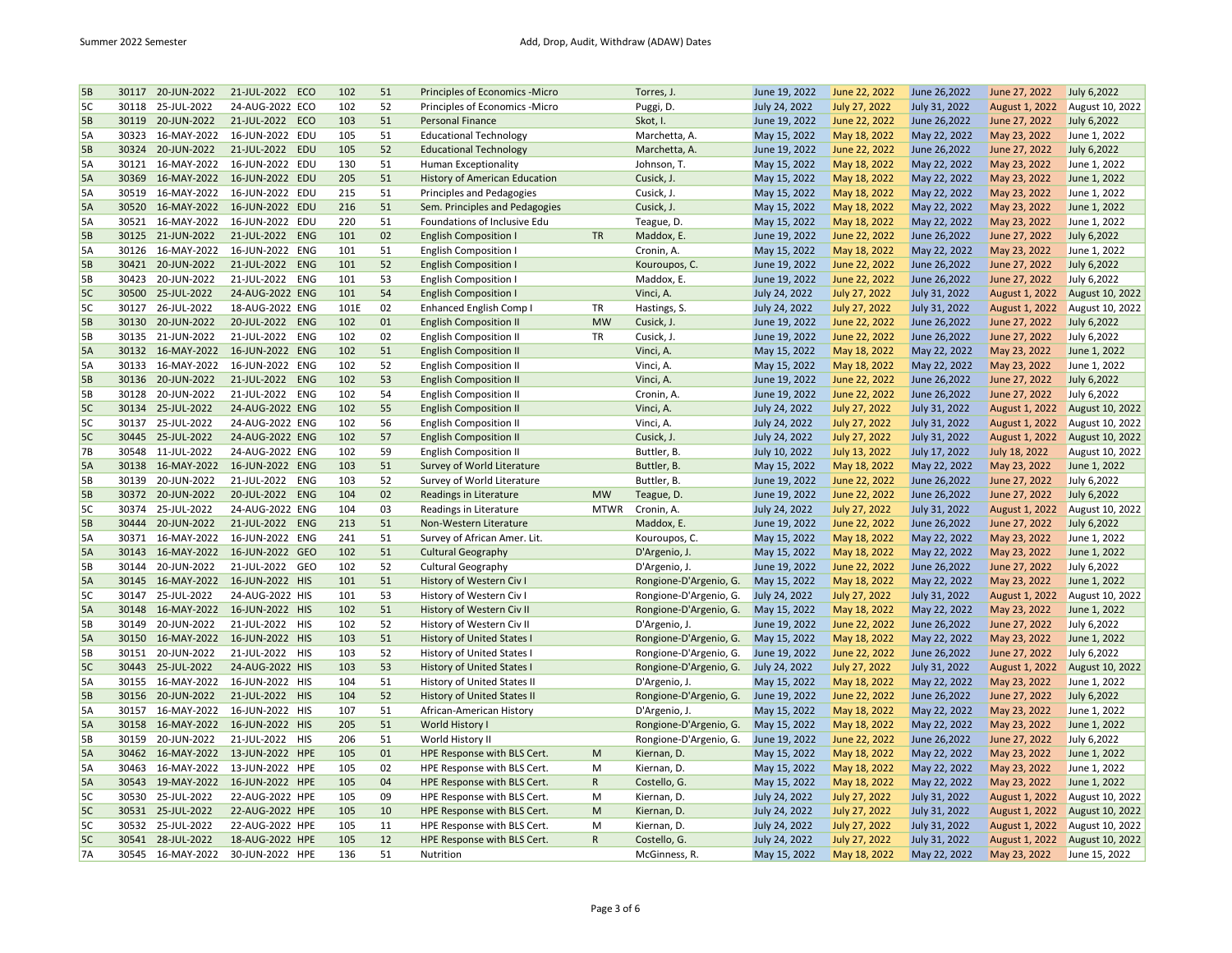| 5В | 30117 | 20-JUN-2022       | 21-JUL-2022<br>ECO        | 102  | 51 | Principles of Economics - Micro      |              | Torres, J.             | June 19, 2022 | June 22, 2022 | June 26,2022  | June 27, 2022  | July 6,2022     |
|----|-------|-------------------|---------------------------|------|----|--------------------------------------|--------------|------------------------|---------------|---------------|---------------|----------------|-----------------|
| 5C | 30118 | 25-JUL-2022       | 24-AUG-2022 ECO           | 102  | 52 | Principles of Economics -Micro       |              | Puggi, D.              | July 24, 2022 | July 27, 2022 | July 31, 2022 | August 1, 2022 | August 10, 2022 |
| 5B | 30119 | 20-JUN-2022       | 21-JUL-2022 ECO           | 103  | 51 | <b>Personal Finance</b>              |              | Skot, I.               | June 19, 2022 | June 22, 2022 | June 26,2022  | June 27, 2022  | July 6,2022     |
| 5A | 30323 | 16-MAY-2022       | 16-JUN-2022 EDU           | 105  | 51 | <b>Educational Technology</b>        |              | Marchetta, A.          | May 15, 2022  | May 18, 2022  | May 22, 2022  | May 23, 2022   | June 1, 2022    |
| 5B | 30324 | 20-JUN-2022       | 21-JUL-2022 EDU           | 105  | 52 | <b>Educational Technology</b>        |              | Marchetta, A.          | June 19, 2022 | June 22, 2022 | June 26,2022  | June 27, 2022  | July 6,2022     |
| 5A | 30121 | 16-MAY-2022       | 16-JUN-2022 EDU           | 130  | 51 | <b>Human Exceptionality</b>          |              | Johnson, T.            | May 15, 2022  | May 18, 2022  | May 22, 2022  | May 23, 2022   | June 1, 2022    |
| 5A | 30369 | 16-MAY-2022       | 16-JUN-2022 EDU           | 205  | 51 | <b>History of American Education</b> |              | Cusick, J.             | May 15, 2022  | May 18, 2022  | May 22, 2022  | May 23, 2022   | June 1, 2022    |
| 5A | 30519 | 16-MAY-2022       | 16-JUN-2022 EDU           | 215  | 51 | Principles and Pedagogies            |              | Cusick, J.             | May 15, 2022  | May 18, 2022  | May 22, 2022  | May 23, 2022   | June 1, 2022    |
| 5A |       | 30520 16-MAY-2022 | 16-JUN-2022 EDU           | 216  | 51 | Sem. Principles and Pedagogies       |              | Cusick, J.             | May 15, 2022  | May 18, 2022  | May 22, 2022  | May 23, 2022   | June 1, 2022    |
| 5A | 30521 | 16-MAY-2022       | 16-JUN-2022 EDU           | 220  | 51 | Foundations of Inclusive Edu         |              | Teague, D.             | May 15, 2022  | May 18, 2022  | May 22, 2022  | May 23, 2022   | June 1, 2022    |
| 5B | 30125 | 21-JUN-2022       | 21-JUL-2022<br><b>ENG</b> | 101  | 02 | <b>English Composition I</b>         | <b>TR</b>    | Maddox, E.             | June 19, 2022 | June 22, 2022 | June 26,2022  | June 27, 2022  | July 6,2022     |
| 5A | 30126 | 16-MAY-2022       | 16-JUN-2022 ENG           | 101  | 51 | <b>English Composition I</b>         |              | Cronin, A.             | May 15, 2022  | May 18, 2022  | May 22, 2022  | May 23, 2022   | June 1, 2022    |
| 5B | 30421 | 20-JUN-2022       | ENG<br>21-JUL-2022        | 101  | 52 | <b>English Composition I</b>         |              | Kouroupos, C.          | June 19, 2022 | June 22, 2022 | June 26,2022  | June 27, 2022  | July 6,2022     |
| 5В | 30423 | 20-JUN-2022       | 21-JUL-2022 ENG           | 101  | 53 | <b>English Composition I</b>         |              | Maddox, E.             | June 19, 2022 | June 22, 2022 | June 26,2022  | June 27, 2022  | July 6,2022     |
| 5C | 30500 | 25-JUL-2022       | 24-AUG-2022 ENG           | 101  | 54 | <b>English Composition I</b>         |              | Vinci, A.              | July 24, 2022 | July 27, 2022 | July 31, 2022 | August 1, 2022 | August 10, 2022 |
| 5C | 30127 | 26-JUL-2022       | 18-AUG-2022 ENG           | 101E | 02 | <b>Enhanced English Comp I</b>       | TR           | Hastings, S.           | July 24, 2022 | July 27, 2022 | July 31, 2022 | August 1, 2022 | August 10, 2022 |
| 5B | 30130 | 20-JUN-2022       | 20-JUL-2022 ENG           | 102  | 01 | <b>English Composition II</b>        | <b>MW</b>    | Cusick, J.             | June 19, 2022 | June 22, 2022 | June 26,2022  | June 27, 2022  | July 6,2022     |
| 5В | 30135 | 21-JUN-2022       | 21-JUL-2022<br>ENG        | 102  | 02 | <b>English Composition II</b>        | TR           | Cusick, J.             | June 19, 2022 | June 22, 2022 | June 26,2022  | June 27, 2022  | July 6,2022     |
| 5A |       | 30132 16-MAY-2022 | 16-JUN-2022 ENG           | 102  | 51 | <b>English Composition II</b>        |              | Vinci, A.              | May 15, 2022  | May 18, 2022  | May 22, 2022  | May 23, 2022   | June 1, 2022    |
| 5A | 30133 | 16-MAY-2022       | 16-JUN-2022 ENG           | 102  | 52 | <b>English Composition II</b>        |              | Vinci, A.              | May 15, 2022  | May 18, 2022  | May 22, 2022  | May 23, 2022   | June 1, 2022    |
| 5В | 30136 | 20-JUN-2022       | 21-JUL-2022<br>ENG        | 102  | 53 | <b>English Composition II</b>        |              | Vinci, A.              | June 19, 2022 | June 22, 2022 | June 26,2022  | June 27, 2022  | July 6,2022     |
| 5В | 30128 | 20-JUN-2022       | 21-JUL-2022<br>ENG        | 102  | 54 | <b>English Composition II</b>        |              | Cronin, A.             | June 19, 2022 | June 22, 2022 | June 26,2022  | June 27, 2022  | July 6,2022     |
| 5C |       | 30134 25-JUL-2022 | 24-AUG-2022 ENG           | 102  | 55 | <b>English Composition II</b>        |              | Vinci, A.              | July 24, 2022 | July 27, 2022 | July 31, 2022 | August 1, 2022 | August 10, 2022 |
| 5C | 30137 | 25-JUL-2022       | 24-AUG-2022 ENG           | 102  | 56 | <b>English Composition II</b>        |              | Vinci, A.              | July 24, 2022 | July 27, 2022 | July 31, 2022 | August 1, 2022 | August 10, 2022 |
| 5C | 30445 | 25-JUL-2022       |                           | 102  | 57 |                                      |              |                        |               |               |               |                |                 |
|    | 30548 |                   | 24-AUG-2022 ENG           |      | 59 | <b>English Composition II</b>        |              | Cusick, J.             | July 24, 2022 | July 27, 2022 | July 31, 2022 | August 1, 2022 | August 10, 2022 |
| 7B |       | 11-JUL-2022       | 24-AUG-2022 ENG           | 102  |    | <b>English Composition II</b>        |              | Buttler, B.            | July 10, 2022 | July 13, 2022 | July 17, 2022 | July 18, 2022  | August 10, 2022 |
| 5A |       | 30138 16-MAY-2022 | 16-JUN-2022 ENG           | 103  | 51 | Survey of World Literature           |              | Buttler, B.            | May 15, 2022  | May 18, 2022  | May 22, 2022  | May 23, 2022   | June 1, 2022    |
| 5B | 30139 | 20-JUN-2022       | 21-JUL-2022<br>ENG        | 103  | 52 | Survey of World Literature           |              | Buttler, B.            | June 19, 2022 | June 22, 2022 | June 26,2022  | June 27, 2022  | July 6,2022     |
| 5B | 30372 | 20-JUN-2022       | 20-JUL-2022 ENG           | 104  | 02 | Readings in Literature               | <b>MW</b>    | Teague, D.             | June 19, 2022 | June 22, 2022 | June 26,2022  | June 27, 2022  | July 6,2022     |
| 5C | 30374 | 25-JUL-2022       | 24-AUG-2022 ENG           | 104  | 03 | Readings in Literature               | <b>MTWR</b>  | Cronin, A.             | July 24, 2022 | July 27, 2022 | July 31, 2022 | August 1, 2022 | August 10, 2022 |
| 5B | 30444 | 20-JUN-2022       | 21-JUL-2022<br><b>ENG</b> | 213  | 51 | Non-Western Literature               |              | Maddox, E.             | June 19, 2022 | June 22, 2022 | June 26,2022  | June 27, 2022  | July 6,2022     |
| 5A | 30371 | 16-MAY-2022       | 16-JUN-2022 ENG           | 241  | 51 | Survey of African Amer. Lit.         |              | Kouroupos, C.          | May 15, 2022  | May 18, 2022  | May 22, 2022  | May 23, 2022   | June 1, 2022    |
| 5A | 30143 | 16-MAY-2022       | 16-JUN-2022 GEO           | 102  | 51 | <b>Cultural Geography</b>            |              | D'Argenio, J.          | May 15, 2022  | May 18, 2022  | May 22, 2022  | May 23, 2022   | June 1, 2022    |
| 5В | 30144 | 20-JUN-2022       | 21-JUL-2022<br>GEO        | 102  | 52 | <b>Cultural Geography</b>            |              | D'Argenio, J.          | June 19, 2022 | June 22, 2022 | June 26,2022  | June 27, 2022  | July 6,2022     |
| 5A |       | 30145 16-MAY-2022 | 16-JUN-2022 HIS           | 101  | 51 | History of Western Civ I             |              | Rongione-D'Argenio, G. | May 15, 2022  | May 18, 2022  | May 22, 2022  | May 23, 2022   | June 1, 2022    |
| 5C | 30147 | 25-JUL-2022       | 24-AUG-2022 HIS           | 101  | 53 | History of Western Civ I             |              | Rongione-D'Argenio, G. | July 24, 2022 | July 27, 2022 | July 31, 2022 | August 1, 2022 | August 10, 2022 |
| 5A |       | 30148 16-MAY-2022 | 16-JUN-2022 HIS           | 102  | 51 | History of Western Civ II            |              | Rongione-D'Argenio, G. | May 15, 2022  | May 18, 2022  | May 22, 2022  | May 23, 2022   | June 1, 2022    |
| 5В | 30149 | 20-JUN-2022       | 21-JUL-2022<br><b>HIS</b> | 102  | 52 | History of Western Civ II            |              | D'Argenio, J.          | June 19, 2022 | June 22, 2022 | June 26,2022  | June 27, 2022  | July 6,2022     |
| 5A | 30150 | 16-MAY-2022       | 16-JUN-2022 HIS           | 103  | 51 | History of United States I           |              | Rongione-D'Argenio, G. | May 15, 2022  | May 18, 2022  | May 22, 2022  | May 23, 2022   | June 1, 2022    |
| 5В | 30151 | 20-JUN-2022       | 21-JUL-2022 HIS           | 103  | 52 | History of United States I           |              | Rongione-D'Argenio, G. | June 19, 2022 | June 22, 2022 | June 26,2022  | June 27, 2022  | July 6,2022     |
| 5C | 30443 | 25-JUL-2022       | 24-AUG-2022 HIS           | 103  | 53 | <b>History of United States I</b>    |              | Rongione-D'Argenio, G. | July 24, 2022 | July 27, 2022 | July 31, 2022 | August 1, 2022 | August 10, 2022 |
| 5А | 30155 | 16-MAY-2022       | 16-JUN-2022 HIS           | 104  | 51 | History of United States II          |              | D'Argenio, J.          | May 15, 2022  | May 18, 2022  | May 22, 2022  | May 23, 2022   | June 1, 2022    |
| 5B | 30156 | 20-JUN-2022       | 21-JUL-2022 HIS           | 104  | 52 | History of United States II          |              | Rongione-D'Argenio, G. | June 19, 2022 | June 22, 2022 | June 26,2022  | June 27, 2022  | July 6,2022     |
| 5А | 30157 | 16-MAY-2022       | 16-JUN-2022 HIS           | 107  | 51 | African-American History             |              | D'Argenio, J.          | May 15, 2022  | May 18, 2022  | May 22, 2022  | May 23, 2022   | June 1, 2022    |
| 5A | 30158 | 16-MAY-2022       | 16-JUN-2022 HIS           | 205  | 51 | World History I                      |              | Rongione-D'Argenio, G. | May 15, 2022  | May 18, 2022  | May 22, 2022  | May 23, 2022   | June 1, 2022    |
| 5В | 30159 | 20-JUN-2022       | 21-JUL-2022 HIS           | 206  | 51 | World History II                     |              | Rongione-D'Argenio, G. | June 19, 2022 | June 22, 2022 | June 26,2022  | June 27, 2022  | July 6,2022     |
| 5A | 30462 | 16-MAY-2022       | 13-JUN-2022 HPE           | 105  | 01 | HPE Response with BLS Cert.          | M            | Kiernan, D.            | May 15, 2022  | May 18, 2022  | May 22, 2022  | May 23, 2022   | June 1, 2022    |
| 5A | 30463 | 16-MAY-2022       | 13-JUN-2022 HPE           | 105  | 02 | HPE Response with BLS Cert.          | M            | Kiernan, D.            | May 15, 2022  | May 18, 2022  | May 22, 2022  | May 23, 2022   | June 1, 2022    |
| 5A |       | 30543 19-MAY-2022 | 16-JUN-2022 HPE           | 105  | 04 | HPE Response with BLS Cert.          | ${\sf R}$    | Costello, G.           | May 15, 2022  | May 18, 2022  | May 22, 2022  | May 23, 2022   | June 1, 2022    |
| 5C | 30530 | 25-JUL-2022       | 22-AUG-2022 HPE           | 105  | 09 | HPE Response with BLS Cert.          | M            | Kiernan, D.            | July 24, 2022 | July 27, 2022 | July 31, 2022 | August 1, 2022 | August 10, 2022 |
| 5C |       | 30531 25-JUL-2022 | 22-AUG-2022 HPE           | 105  | 10 | HPE Response with BLS Cert.          | M            | Kiernan, D.            | July 24, 2022 | July 27, 2022 | July 31, 2022 | August 1, 2022 | August 10, 2022 |
| 5C | 30532 | 25-JUL-2022       | 22-AUG-2022 HPE           | 105  | 11 | HPE Response with BLS Cert.          | M            | Kiernan, D.            | July 24, 2022 | July 27, 2022 | July 31, 2022 | August 1, 2022 | August 10, 2022 |
| 5C |       | 30541 28-JUL-2022 | 18-AUG-2022 HPE           | 105  | 12 | HPE Response with BLS Cert.          | $\mathsf{R}$ | Costello, G.           | July 24, 2022 | July 27, 2022 | July 31, 2022 | August 1, 2022 | August 10, 2022 |
| 7A | 30545 | 16-MAY-2022       | 30-JUN-2022 HPE           | 136  | 51 | Nutrition                            |              | McGinness, R.          | May 15, 2022  | May 18, 2022  | May 22, 2022  | May 23, 2022   | June 15, 2022   |
|    |       |                   |                           |      |    |                                      |              |                        |               |               |               |                |                 |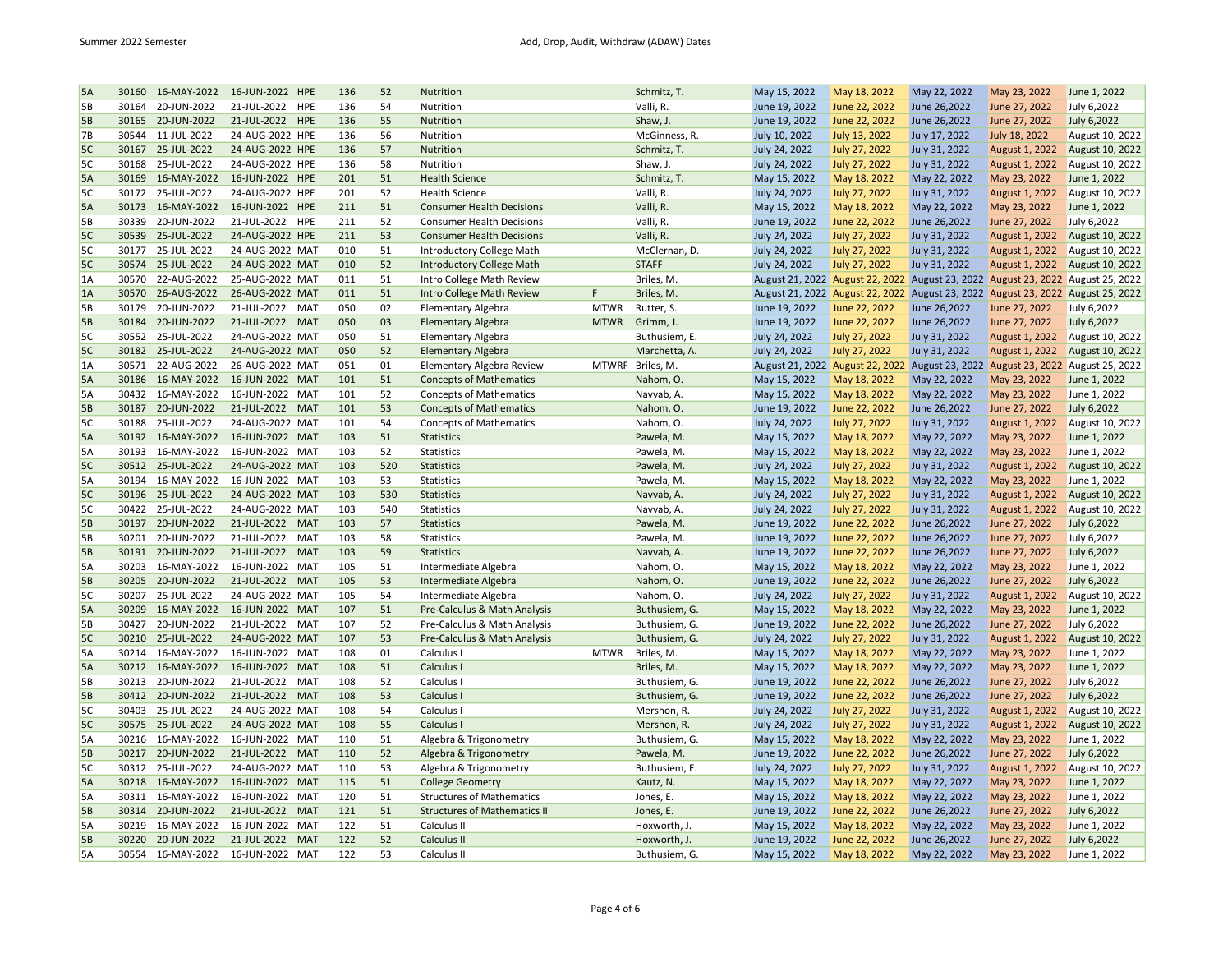| 5A        | 30160 | 16-MAY-2022       | 16-JUN-2022 HPE           | 136 | 52  | Nutrition                           |              | Schmitz, T.            | May 15, 2022                    | May 18, 2022                  | May 22, 2022    | May 23, 2022                                                                    | June 1, 2022    |
|-----------|-------|-------------------|---------------------------|-----|-----|-------------------------------------|--------------|------------------------|---------------------------------|-------------------------------|-----------------|---------------------------------------------------------------------------------|-----------------|
| 5B        | 30164 | 20-JUN-2022       | 21-JUL-2022<br><b>HPE</b> | 136 | 54  | Nutrition                           |              | Valli, R.              | June 19, 2022                   | June 22, 2022                 | June 26,2022    | June 27, 2022                                                                   | July 6,2022     |
| 5B        |       | 30165 20-JUN-2022 | 21-JUL-2022 HPE           | 136 | 55  | Nutrition                           |              | Shaw, J.               | June 19, 2022                   | June 22, 2022                 | June 26,2022    | June 27, 2022                                                                   | July 6,2022     |
| 7В        | 30544 | 11-JUL-2022       | 24-AUG-2022 HPE           | 136 | 56  | Nutrition                           |              | McGinness, R.          | July 10, 2022                   | July 13, 2022                 | July 17, 2022   | July 18, 2022                                                                   | August 10, 2022 |
| 5C        |       | 30167 25-JUL-2022 | 24-AUG-2022 HPE           | 136 | 57  | Nutrition                           |              | Schmitz, T.            | July 24, 2022                   | July 27, 2022                 | July 31, 2022   | August 1, 2022                                                                  | August 10, 2022 |
| 5C        | 30168 | 25-JUL-2022       | 24-AUG-2022 HPE           | 136 | 58  | Nutrition                           |              | Shaw, J.               | July 24, 2022                   | July 27, 2022                 | July 31, 2022   | August 1, 2022                                                                  | August 10, 2022 |
| 5A        | 30169 | 16-MAY-2022       | 16-JUN-2022 HPE           | 201 | 51  | <b>Health Science</b>               |              | Schmitz, T.            | May 15, 2022                    | May 18, 2022                  | May 22, 2022    | May 23, 2022                                                                    | June 1, 2022    |
| 5C        | 30172 | 25-JUL-2022       | 24-AUG-2022 HPE           | 201 | 52  | <b>Health Science</b>               |              | Valli, R.              | July 24, 2022                   | July 27, 2022                 | July 31, 2022   | August 1, 2022                                                                  | August 10, 2022 |
| 5A        |       | 30173 16-MAY-2022 | 16-JUN-2022 HPE           | 211 | 51  | <b>Consumer Health Decisions</b>    |              | Valli, R.              | May 15, 2022                    | May 18, 2022                  | May 22, 2022    | May 23, 2022                                                                    | June 1, 2022    |
| 5В        | 30339 | 20-JUN-2022       | 21-JUL-2022 HPE           | 211 | 52  | <b>Consumer Health Decisions</b>    |              | Valli, R.              | June 19, 2022                   | June 22, 2022                 | June 26,2022    | June 27, 2022                                                                   | July 6,2022     |
| 5C        | 30539 | 25-JUL-2022       | 24-AUG-2022 HPE           | 211 | 53  | <b>Consumer Health Decisions</b>    |              | Valli, R.              | July 24, 2022                   | July 27, 2022                 | July 31, 2022   | August 1, 2022                                                                  | August 10, 2022 |
| 5C        | 30177 | 25-JUL-2022       | 24-AUG-2022 MAT           | 010 | 51  | <b>Introductory College Math</b>    |              | McClernan, D.          | July 24, 2022                   | July 27, 2022                 | July 31, 2022   | August 1, 2022                                                                  | August 10, 2022 |
| 5C        | 30574 | 25-JUL-2022       | 24-AUG-2022 MAT           | 010 | 52  | <b>Introductory College Math</b>    |              | <b>STAFF</b>           | July 24, 2022                   | July 27, 2022                 | July 31, 2022   | August 1, 2022                                                                  | August 10, 2022 |
| 1A        | 30570 | 22-AUG-2022       | 25-AUG-2022 MAT           | 011 | 51  | Intro College Math Review           |              | Briles, M.             |                                 |                               |                 | August 21, 2022 August 22, 2022 August 23, 2022 August 23, 2022 August 25, 2022 |                 |
| 1A        | 30570 | 26-AUG-2022       | 26-AUG-2022 MAT           | 011 | 51  | <b>Intro College Math Review</b>    | F            | Briles, M.             | August 21, 2022 August 22, 2022 |                               |                 | August 23, 2022 August 23, 2022 August 25, 2022                                 |                 |
| 5B        | 30179 | 20-JUN-2022       | 21-JUL-2022<br>MAT        | 050 | 02  | <b>Elementary Algebra</b>           | <b>MTWR</b>  | Rutter, S.             | June 19, 2022                   | June 22, 2022                 | June 26,2022    | June 27, 2022                                                                   | July 6,2022     |
| 5В        | 30184 | 20-JUN-2022       | 21-JUL-2022<br><b>MAT</b> | 050 | 03  | <b>Elementary Algebra</b>           | <b>MTWR</b>  | Grimm, J.              | June 19, 2022                   | June 22, 2022                 | June 26,2022    | June 27, 2022                                                                   | July 6,2022     |
| 5C        | 30552 | 25-JUL-2022       | 24-AUG-2022 MAT           | 050 | 51  | <b>Elementary Algebra</b>           |              | Buthusiem, E.          | July 24, 2022                   | July 27, 2022                 | July 31, 2022   | August 1, 2022                                                                  | August 10, 2022 |
| 5C        |       | 30182 25-JUL-2022 | 24-AUG-2022 MAT           | 050 | 52  | <b>Elementary Algebra</b>           |              | Marchetta, A.          | July 24, 2022                   | July 27, 2022                 | July 31, 2022   | August 1, 2022                                                                  | August 10, 2022 |
| 1A        | 30571 | 22-AUG-2022       | 26-AUG-2022 MAT           | 051 | 01  |                                     | <b>MTWRF</b> | Briles, M.             |                                 |                               |                 |                                                                                 |                 |
|           |       |                   |                           |     |     | <b>Elementary Algebra Review</b>    |              |                        | August 21, 2022 August 22, 2022 |                               | August 23, 2022 | August 23, 2022 August 25, 2022                                                 |                 |
| 5A        |       | 30186 16-MAY-2022 | 16-JUN-2022 MAT           | 101 | 51  | <b>Concepts of Mathematics</b>      |              | Nahom, O.              | May 15, 2022                    | May 18, 2022                  | May 22, 2022    | May 23, 2022                                                                    | June 1, 2022    |
| 5А        | 30432 | 16-MAY-2022       | 16-JUN-2022 MAT           | 101 | 52  | <b>Concepts of Mathematics</b>      |              | Navvab, A.             | May 15, 2022                    | May 18, 2022                  | May 22, 2022    | May 23, 2022                                                                    | June 1, 2022    |
| 5B        |       | 30187 20-JUN-2022 | 21-JUL-2022 MAT           | 101 | 53  | <b>Concepts of Mathematics</b>      |              | Nahom, O.              | June 19, 2022                   | June 22, 2022                 | June 26,2022    | June 27, 2022                                                                   | July 6,2022     |
| 5C        | 30188 | 25-JUL-2022       | 24-AUG-2022 MAT           | 101 | 54  | <b>Concepts of Mathematics</b>      |              | Nahom, O.              | July 24, 2022                   | July 27, 2022                 | July 31, 2022   | August 1, 2022                                                                  | August 10, 2022 |
| 5A        | 30192 | 16-MAY-2022       | 16-JUN-2022 MAT           | 103 | 51  | <b>Statistics</b>                   |              | Pawela, M.             | May 15, 2022                    | May 18, 2022                  | May 22, 2022    | May 23, 2022                                                                    | June 1, 2022    |
| 5A        | 30193 | 16-MAY-2022       | 16-JUN-2022 MAT           | 103 | 52  | Statistics                          |              | Pawela, M.             | May 15, 2022                    | May 18, 2022                  | May 22, 2022    | May 23, 2022                                                                    | June 1, 2022    |
| 5C        |       | 30512 25-JUL-2022 | 24-AUG-2022 MAT           | 103 | 520 | <b>Statistics</b>                   |              | Pawela, M.             | July 24, 2022                   | July 27, 2022                 | July 31, 2022   | August 1, 2022                                                                  | August 10, 2022 |
| 5A        | 30194 | 16-MAY-2022       | 16-JUN-2022 MAT           | 103 | 53  | Statistics                          |              | Pawela, M.             | May 15, 2022                    | May 18, 2022                  | May 22, 2022    | May 23, 2022                                                                    | June 1, 2022    |
| 5C        | 30196 | 25-JUL-2022       | 24-AUG-2022 MAT           | 103 | 530 | <b>Statistics</b>                   |              | Navvab, A.             | July 24, 2022                   | July 27, 2022                 | July 31, 2022   | August 1, 2022                                                                  | August 10, 2022 |
| 5C        | 30422 | 25-JUL-2022       | 24-AUG-2022 MAT           | 103 | 540 | Statistics                          |              | Navvab, A.             | July 24, 2022                   | July 27, 2022                 | July 31, 2022   | August 1, 2022                                                                  | August 10, 2022 |
| <b>5B</b> | 30197 | 20-JUN-2022       | <b>MAT</b><br>21-JUL-2022 | 103 | 57  | <b>Statistics</b>                   |              | Pawela, M.             | June 19, 2022                   | June 22, 2022                 | June 26,2022    | June 27, 2022                                                                   | July 6,2022     |
| 5В        | 30201 | 20-JUN-2022       | 21-JUL-2022<br>MAT        | 103 | 58  | Statistics                          |              | Pawela, M.             | June 19, 2022                   | June 22, 2022                 | June 26,2022    | June 27, 2022                                                                   | July 6,2022     |
| 5В        |       | 30191 20-JUN-2022 | 21-JUL-2022 MAT           | 103 | 59  | <b>Statistics</b>                   |              | Navvab, A.             | June 19, 2022                   | June 22, 2022                 | June 26,2022    | June 27, 2022                                                                   | July 6,2022     |
| 5A        | 30203 | 16-MAY-2022       | 16-JUN-2022 MAT           | 105 | 51  | Intermediate Algebra                |              | Nahom, O.              | May 15, 2022                    | May 18, 2022                  | May 22, 2022    | May 23, 2022                                                                    | June 1, 2022    |
| 5B        | 30205 | 20-JUN-2022       | 21-JUL-2022<br><b>MAT</b> | 105 | 53  | Intermediate Algebra                |              | Nahom, O.              | June 19, 2022                   | June 22, 2022                 | June 26,2022    | June 27, 2022                                                                   | July 6,2022     |
| 5C        | 30207 | 25-JUL-2022       | 24-AUG-2022 MAT           | 105 | 54  | Intermediate Algebra                |              | Nahom, O.              | July 24, 2022                   | July 27, 2022                 | July 31, 2022   | August 1, 2022                                                                  | August 10, 2022 |
| 5A        | 30209 | 16-MAY-2022       | 16-JUN-2022 MAT           | 107 | 51  | Pre-Calculus & Math Analysis        |              | Buthusiem, G.          | May 15, 2022                    | May 18, 2022                  | May 22, 2022    | May 23, 2022                                                                    | June 1, 2022    |
| 5B        | 30427 | 20-JUN-2022       | 21-JUL-2022<br>MAT        | 107 | 52  | Pre-Calculus & Math Analysis        |              | Buthusiem, G.          | June 19, 2022                   | June 22, 2022                 | June 26,2022    | June 27, 2022                                                                   | July 6,2022     |
| 5C        | 30210 | 25-JUL-2022       | 24-AUG-2022 MAT           | 107 | 53  | Pre-Calculus & Math Analysis        |              | Buthusiem, G.          | July 24, 2022                   | July 27, 2022                 | July 31, 2022   | August 1, 2022                                                                  | August 10, 2022 |
| 5A        | 30214 | 16-MAY-2022       | 16-JUN-2022 MAT           | 108 | 01  | Calculus I                          | <b>MTWR</b>  | Briles, M.             | May 15, 2022                    | May 18, 2022                  | May 22, 2022    | May 23, 2022                                                                    | June 1, 2022    |
| 5A        |       | 30212 16-MAY-2022 | 16-JUN-2022 MAT           | 108 | 51  | Calculus I                          |              | Briles, M.             | May 15, 2022                    | May 18, 2022                  | May 22, 2022    | May 23, 2022                                                                    | June 1, 2022    |
| 5В        | 30213 | 20-JUN-2022       | 21-JUL-2022<br>MAT        | 108 | 52  | Calculus I                          |              | Buthusiem, G.          | June 19, 2022                   | June 22, 2022                 | June 26,2022    | June 27, 2022                                                                   | July 6,2022     |
| 5B        | 30412 | 20-JUN-2022       | 21-JUL-2022<br><b>MAT</b> | 108 | 53  | Calculus I                          |              | Buthusiem, G.          | June 19, 2022                   | June 22, 2022                 | June 26,2022    | June 27, 2022                                                                   | July 6,2022     |
| 5C        | 30403 | 25-JUL-2022       | 24-AUG-2022 MAT           | 108 | 54  | Calculus I                          |              | Mershon, R.            | July 24, 2022                   | July 27, 2022                 | July 31, 2022   | August 1, 2022                                                                  | August 10, 2022 |
| 5C        |       | 30575 25-JUL-2022 | 24-AUG-2022 MAT           | 108 | 55  | Calculus I                          |              | Mershon, R.            | July 24, 2022                   | July 27, 2022                 | July 31, 2022   | August 1, 2022                                                                  | August 10, 2022 |
| 5A        | 30216 | 16-MAY-2022       | 16-JUN-2022 MAT           | 110 | 51  | Algebra & Trigonometry              |              | Buthusiem, G.          | May 15, 2022                    | May 18, 2022                  | May 22, 2022    | May 23, 2022                                                                    | June 1, 2022    |
| 5В        | 30217 | 20-JUN-2022       | 21-JUL-2022 MAT           | 110 | 52  | Algebra & Trigonometry              |              | Pawela, M.             | June 19, 2022                   | June 22, 2022                 | June 26,2022    | June 27, 2022                                                                   | July 6,2022     |
| 5C        | 30312 | 25-JUL-2022       | 24-AUG-2022 MAT           | 110 | 53  | Algebra & Trigonometry              |              | Buthusiem, E.          | July 24, 2022                   | July 27, 2022                 | July 31, 2022   | August 1, 2022                                                                  | August 10, 2022 |
| 5A        |       | 30218 16-MAY-2022 | 16-JUN-2022 MAT           | 115 | 51  | <b>College Geometry</b>             |              | Kautz, N.              | May 15, 2022                    | May 18, 2022                  | May 22, 2022    | May 23, 2022                                                                    | June 1, 2022    |
| 5A        | 30311 | 16-MAY-2022       | 16-JUN-2022 MAT           | 120 | 51  | <b>Structures of Mathematics</b>    |              |                        |                                 |                               | May 22, 2022    | May 23, 2022                                                                    | June 1, 2022    |
| 5B        |       | 30314 20-JUN-2022 | 21-JUL-2022<br><b>MAT</b> | 121 | 51  | <b>Structures of Mathematics II</b> |              | Jones, E.<br>Jones, E. | May 15, 2022<br>June 19, 2022   | May 18, 2022<br>June 22, 2022 | June 26,2022    | June 27, 2022                                                                   | July 6,2022     |
| 5A        | 30219 |                   |                           | 122 | 51  |                                     |              |                        |                                 |                               |                 |                                                                                 |                 |
|           |       | 16-MAY-2022       | 16-JUN-2022 MAT           |     |     | Calculus II                         |              | Hoxworth, J.           | May 15, 2022                    | May 18, 2022                  | May 22, 2022    | May 23, 2022                                                                    | June 1, 2022    |
| 5B        | 30220 | 20-JUN-2022       | 21-JUL-2022 MAT           | 122 | 52  | Calculus II                         |              | Hoxworth, J.           | June 19, 2022                   | June 22, 2022                 | June 26,2022    | June 27, 2022                                                                   | July 6,2022     |
| 5A        | 30554 | 16-MAY-2022       | 16-JUN-2022 MAT           | 122 | 53  | Calculus II                         |              | Buthusiem, G.          | May 15, 2022                    | May 18, 2022                  | May 22, 2022    | May 23, 2022                                                                    | June 1, 2022    |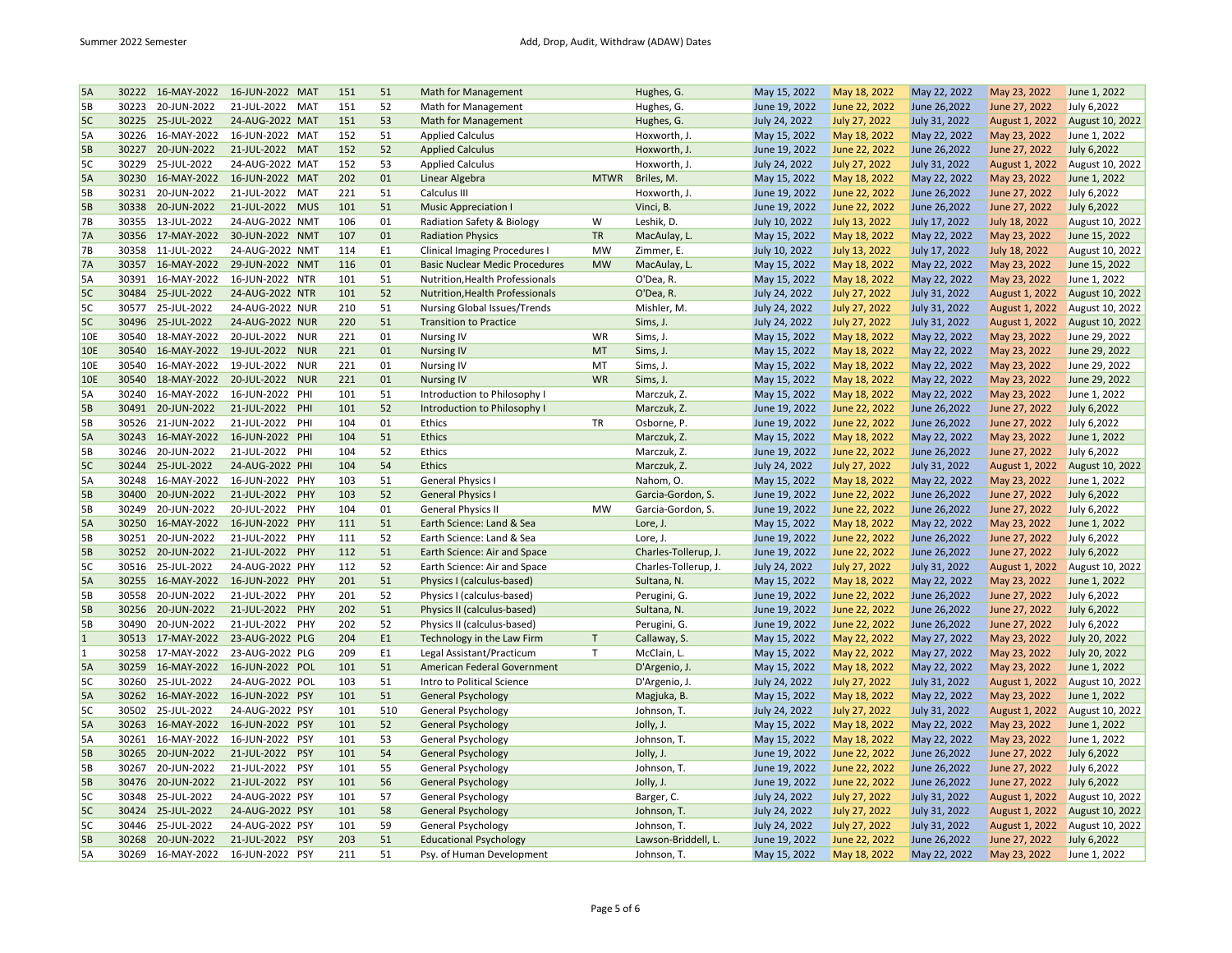| 5A             | 30222 | 16-MAY-2022       | 16-JUN-2022 MAT    | 151 | 51  | Math for Management                   |             | Hughes, G.           | May 15, 2022  | May 18, 2022         | May 22, 2022  | May 23, 2022   | June 1, 2022    |
|----------------|-------|-------------------|--------------------|-----|-----|---------------------------------------|-------------|----------------------|---------------|----------------------|---------------|----------------|-----------------|
| 5В             | 30223 | 20-JUN-2022       | 21-JUL-2022<br>MAT | 151 | 52  | Math for Management                   |             | Hughes, G.           | June 19, 2022 | June 22, 2022        | June 26,2022  | June 27, 2022  | July 6,2022     |
| 5C             | 30225 | 25-JUL-2022       | 24-AUG-2022 MAT    | 151 | 53  | <b>Math for Management</b>            |             | Hughes, G.           | July 24, 2022 | July 27, 2022        | July 31, 2022 | August 1, 2022 | August 10, 2022 |
| 5A             | 30226 | 16-MAY-2022       | 16-JUN-2022 MAT    | 152 | 51  | <b>Applied Calculus</b>               |             | Hoxworth, J.         | May 15, 2022  | May 18, 2022         | May 22, 2022  | May 23, 2022   | June 1, 2022    |
| <b>5B</b>      | 30227 | 20-JUN-2022       | 21-JUL-2022 MAT    | 152 | 52  | <b>Applied Calculus</b>               |             | Hoxworth, J.         | June 19, 2022 | June 22, 2022        | June 26,2022  | June 27, 2022  | July 6,2022     |
| 5C             | 30229 | 25-JUL-2022       | 24-AUG-2022 MAT    | 152 | 53  | <b>Applied Calculus</b>               |             | Hoxworth, J.         | July 24, 2022 | July 27, 2022        | July 31, 2022 | August 1, 2022 | August 10, 2022 |
| 5A             |       | 30230 16-MAY-2022 | 16-JUN-2022 MAT    | 202 | 01  | Linear Algebra                        | <b>MTWR</b> | Briles, M.           | May 15, 2022  | May 18, 2022         | May 22, 2022  | May 23, 2022   | June 1, 2022    |
| 5B             | 30231 | 20-JUN-2022       | 21-JUL-2022<br>MAT | 221 | 51  | Calculus III                          |             | Hoxworth, J.         | June 19, 2022 | June 22, 2022        | June 26,2022  | June 27, 2022  | July 6,2022     |
| <b>5B</b>      |       | 30338 20-JUN-2022 | 21-JUL-2022 MUS    | 101 | 51  | <b>Music Appreciation I</b>           |             | Vinci, B.            | June 19, 2022 | June 22, 2022        | June 26,2022  | June 27, 2022  | July 6,2022     |
| 7В             | 30355 | 13-JUL-2022       | 24-AUG-2022 NMT    | 106 | 01  | Radiation Safety & Biology            | W           | Leshik, D.           | July 10, 2022 | July 13, 2022        | July 17, 2022 | July 18, 2022  | August 10, 2022 |
| <b>7A</b>      |       | 30356 17-MAY-2022 | 30-JUN-2022 NMT    | 107 | 01  | <b>Radiation Physics</b>              | <b>TR</b>   | MacAulay, L.         | May 15, 2022  | May 18, 2022         | May 22, 2022  | May 23, 2022   | June 15, 2022   |
| 7В             | 30358 | 11-JUL-2022       | 24-AUG-2022 NMT    | 114 | E1  | <b>Clinical Imaging Procedures I</b>  | <b>MW</b>   | Zimmer, E.           | July 10, 2022 | July 13, 2022        | July 17, 2022 | July 18, 2022  | August 10, 2022 |
| <b>7A</b>      | 30357 | 16-MAY-2022       | 29-JUN-2022 NMT    | 116 | 01  | <b>Basic Nuclear Medic Procedures</b> | <b>MW</b>   | MacAulay, L.         | May 15, 2022  | May 18, 2022         | May 22, 2022  | May 23, 2022   | June 15, 2022   |
| 5А             | 30391 | 16-MAY-2022       | 16-JUN-2022 NTR    | 101 | 51  | Nutrition, Health Professionals       |             | O'Dea, R.            | May 15, 2022  | May 18, 2022         | May 22, 2022  | May 23, 2022   | June 1, 2022    |
| 5C             | 30484 | 25-JUL-2022       | 24-AUG-2022 NTR    | 101 | 52  | Nutrition, Health Professionals       |             | O'Dea, R.            | July 24, 2022 | <b>July 27, 2022</b> | July 31, 2022 | August 1, 2022 | August 10, 2022 |
| 5C             | 30577 | 25-JUL-2022       | 24-AUG-2022 NUR    | 210 | 51  | Nursing Global Issues/Trends          |             | Mishler, M.          | July 24, 2022 | July 27, 2022        | July 31, 2022 | August 1, 2022 | August 10, 2022 |
| 5C             |       | 30496 25-JUL-2022 | 24-AUG-2022 NUR    | 220 | 51  | <b>Transition to Practice</b>         |             | Sims, J.             | July 24, 2022 | July 27, 2022        | July 31, 2022 | August 1, 2022 | August 10, 2022 |
| 10E            | 30540 | 18-MAY-2022       | 20-JUL-2022<br>NUR | 221 | 01  | <b>Nursing IV</b>                     | WR          | Sims, J.             | May 15, 2022  | May 18, 2022         | May 22, 2022  | May 23, 2022   | June 29, 2022   |
|                | 30540 | 16-MAY-2022       | 19-JUL-2022 NUR    | 221 | 01  | <b>Nursing IV</b>                     | MT          |                      |               |                      |               |                | June 29, 2022   |
| 10E            | 30540 | 16-MAY-2022       | <b>NUR</b>         | 221 | 01  |                                       | MT          | Sims, J.             | May 15, 2022  | May 18, 2022         | May 22, 2022  | May 23, 2022   |                 |
| 10E            |       |                   | 19-JUL-2022        |     |     | <b>Nursing IV</b>                     |             | Sims, J.             | May 15, 2022  | May 18, 2022         | May 22, 2022  | May 23, 2022   | June 29, 2022   |
| <b>10E</b>     | 30540 | 18-MAY-2022       | 20-JUL-2022 NUR    | 221 | 01  | <b>Nursing IV</b>                     | <b>WR</b>   | Sims, J.             | May 15, 2022  | May 18, 2022         | May 22, 2022  | May 23, 2022   | June 29, 2022   |
| 5A             | 30240 | 16-MAY-2022       | 16-JUN-2022 PHI    | 101 | 51  | Introduction to Philosophy I          |             | Marczuk, Z.          | May 15, 2022  | May 18, 2022         | May 22, 2022  | May 23, 2022   | June 1, 2022    |
| <b>5B</b>      |       | 30491 20-JUN-2022 | 21-JUL-2022 PHI    | 101 | 52  | Introduction to Philosophy I          |             | Marczuk, Z.          | June 19, 2022 | June 22, 2022        | June 26,2022  | June 27, 2022  | July 6,2022     |
| 5Β             | 30526 | 21-JUN-2022       | 21-JUL-2022 PHI    | 104 | 01  | Ethics                                | TR          | Osborne, P.          | June 19, 2022 | June 22, 2022        | June 26,2022  | June 27, 2022  | July 6,2022     |
| 5A             | 30243 | 16-MAY-2022       | 16-JUN-2022 PHI    | 104 | 51  | <b>Ethics</b>                         |             | Marczuk, Z.          | May 15, 2022  | May 18, 2022         | May 22, 2022  | May 23, 2022   | June 1, 2022    |
| 5B             | 30246 | 20-JUN-2022       | PHI<br>21-JUL-2022 | 104 | 52  | Ethics                                |             | Marczuk, Z.          | June 19, 2022 | June 22, 2022        | June 26,2022  | June 27, 2022  | July 6,2022     |
| 5C             |       | 30244 25-JUL-2022 | 24-AUG-2022 PHI    | 104 | 54  | <b>Ethics</b>                         |             | Marczuk, Z.          | July 24, 2022 | July 27, 2022        | July 31, 2022 | August 1, 2022 | August 10, 2022 |
| 5A             | 30248 | 16-MAY-2022       | 16-JUN-2022 PHY    | 103 | 51  | <b>General Physics I</b>              |             | Nahom, O.            | May 15, 2022  | May 18, 2022         | May 22, 2022  | May 23, 2022   | June 1, 2022    |
| 5B             | 30400 | 20-JUN-2022       | 21-JUL-2022 PHY    | 103 | 52  | <b>General Physics I</b>              |             | Garcia-Gordon, S.    | June 19, 2022 | June 22, 2022        | June 26,2022  | June 27, 2022  | July 6,2022     |
| 5Β             | 30249 | 20-JUN-2022       | 20-JUL-2022<br>PHY | 104 | 01  | <b>General Physics II</b>             | MW          | Garcia-Gordon, S.    | June 19, 2022 | June 22, 2022        | June 26,2022  | June 27, 2022  | July 6,2022     |
| 5A             | 30250 | 16-MAY-2022       | 16-JUN-2022 PHY    | 111 | 51  | Earth Science: Land & Sea             |             | Lore, J.             | May 15, 2022  | May 18, 2022         | May 22, 2022  | May 23, 2022   | June 1, 2022    |
| 5B             | 30251 | 20-JUN-2022       | 21-JUL-2022<br>PHY | 111 | 52  | Earth Science: Land & Sea             |             | Lore, J.             | June 19, 2022 | June 22, 2022        | June 26,2022  | June 27, 2022  | July 6,2022     |
| 5B             | 30252 | 20-JUN-2022       | 21-JUL-2022 PHY    | 112 | 51  | Earth Science: Air and Space          |             | Charles-Tollerup, J. | June 19, 2022 | June 22, 2022        | June 26,2022  | June 27, 2022  | July 6,2022     |
| 5C             | 30516 | 25-JUL-2022       | 24-AUG-2022 PHY    | 112 | 52  | Earth Science: Air and Space          |             | Charles-Tollerup, J. | July 24, 2022 | July 27, 2022        | July 31, 2022 | August 1, 2022 | August 10, 2022 |
| 5A             | 30255 | 16-MAY-2022       | 16-JUN-2022 PHY    | 201 | 51  | Physics I (calculus-based)            |             | Sultana, N.          | May 15, 2022  | May 18, 2022         | May 22, 2022  | May 23, 2022   | June 1, 2022    |
| <b>5B</b>      | 30558 | 20-JUN-2022       | 21-JUL-2022<br>PHY | 201 | 52  | Physics I (calculus-based)            |             | Perugini, G.         | June 19, 2022 | June 22, 2022        | June 26,2022  | June 27, 2022  | July 6,2022     |
| <b>5B</b>      | 30256 | 20-JUN-2022       | 21-JUL-2022 PHY    | 202 | 51  | Physics II (calculus-based)           |             | Sultana, N.          | June 19, 2022 | June 22, 2022        | June 26,2022  | June 27, 2022  | July 6,2022     |
| 5Β             | 30490 | 20-JUN-2022       | 21-JUL-2022<br>PHY | 202 | 52  | Physics II (calculus-based)           |             | Perugini, G.         | June 19, 2022 | June 22, 2022        | June 26,2022  | June 27, 2022  | July 6,2022     |
| $\overline{1}$ |       | 30513 17-MAY-2022 | 23-AUG-2022 PLG    | 204 | E1  | Technology in the Law Firm            | T           | Callaway, S.         | May 15, 2022  | May 22, 2022         | May 27, 2022  | May 23, 2022   | July 20, 2022   |
| 1              | 30258 | 17-MAY-2022       | 23-AUG-2022 PLG    | 209 | E1  | Legal Assistant/Practicum             | Т           | McClain, L.          | May 15, 2022  | May 22, 2022         | May 27, 2022  | May 23, 2022   | July 20, 2022   |
| <b>5A</b>      | 30259 | 16-MAY-2022       | 16-JUN-2022 POL    | 101 | 51  | American Federal Government           |             | D'Argenio, J.        | May 15, 2022  | May 18, 2022         | May 22, 2022  | May 23, 2022   | June 1, 2022    |
| 5C             | 30260 | 25-JUL-2022       | 24-AUG-2022 POL    | 103 | 51  | Intro to Political Science            |             | D'Argenio, J.        | July 24, 2022 | July 27, 2022        | July 31, 2022 | August 1, 2022 | August 10, 2022 |
| 5A             |       | 30262 16-MAY-2022 | 16-JUN-2022 PSY    | 101 | 51  | <b>General Psychology</b>             |             | Magjuka, B.          | May 15, 2022  | May 18, 2022         | May 22, 2022  | May 23, 2022   | June 1, 2022    |
| 5C             | 30502 | 25-JUL-2022       | 24-AUG-2022 PSY    | 101 | 510 | General Psychology                    |             | Johnson, T.          | July 24, 2022 | July 27, 2022        | July 31, 2022 | August 1, 2022 | August 10, 2022 |
| 5A             |       | 30263 16-MAY-2022 | 16-JUN-2022 PSY    | 101 | 52  | <b>General Psychology</b>             |             | Jolly, J.            | May 15, 2022  | May 18, 2022         | May 22, 2022  | May 23, 2022   | June 1, 2022    |
| 5A             | 30261 | 16-MAY-2022       | 16-JUN-2022 PSY    | 101 | 53  | General Psychology                    |             | Johnson, T.          | May 15, 2022  | May 18, 2022         | May 22, 2022  | May 23, 2022   | June 1, 2022    |
| <b>5B</b>      | 30265 | 20-JUN-2022       | 21-JUL-2022 PSY    | 101 | 54  | <b>General Psychology</b>             |             | Jolly, J.            | June 19, 2022 | June 22, 2022        | June 26,2022  | June 27, 2022  | July 6,2022     |
| 5Β             | 30267 | 20-JUN-2022       | 21-JUL-2022<br>PSY | 101 | 55  | General Psychology                    |             | Johnson, T.          | June 19, 2022 | June 22, 2022        | June 26,2022  | June 27, 2022  | July 6,2022     |
|                |       |                   |                    | 101 | 56  |                                       |             |                      |               |                      |               |                |                 |
| 5B             |       | 30476 20-JUN-2022 | 21-JUL-2022 PSY    |     |     | <b>General Psychology</b>             |             | Jolly, J.            | June 19, 2022 | June 22, 2022        | June 26,2022  | June 27, 2022  | July 6,2022     |
| 5C             | 30348 | 25-JUL-2022       | 24-AUG-2022 PSY    | 101 | 57  | General Psychology                    |             | Barger, C.           | July 24, 2022 | July 27, 2022        | July 31, 2022 | August 1, 2022 | August 10, 2022 |
| 5C             | 30424 | 25-JUL-2022       | 24-AUG-2022 PSY    | 101 | 58  | <b>General Psychology</b>             |             | Johnson, T.          | July 24, 2022 | July 27, 2022        | July 31, 2022 | August 1, 2022 | August 10, 2022 |
| 5C             | 30446 | 25-JUL-2022       | 24-AUG-2022 PSY    | 101 | 59  | General Psychology                    |             | Johnson, T.          | July 24, 2022 | July 27, 2022        | July 31, 2022 | August 1, 2022 | August 10, 2022 |
| <b>5B</b>      | 30268 | 20-JUN-2022       | 21-JUL-2022 PSY    | 203 | 51  | <b>Educational Psychology</b>         |             | Lawson-Briddell, L.  | June 19, 2022 | June 22, 2022        | June 26,2022  | June 27, 2022  | July 6,2022     |
| 5A             | 30269 | 16-MAY-2022       | 16-JUN-2022 PSY    | 211 | 51  | Psy. of Human Development             |             | Johnson, T.          | May 15, 2022  | May 18, 2022         | May 22, 2022  | May 23, 2022   | June 1, 2022    |